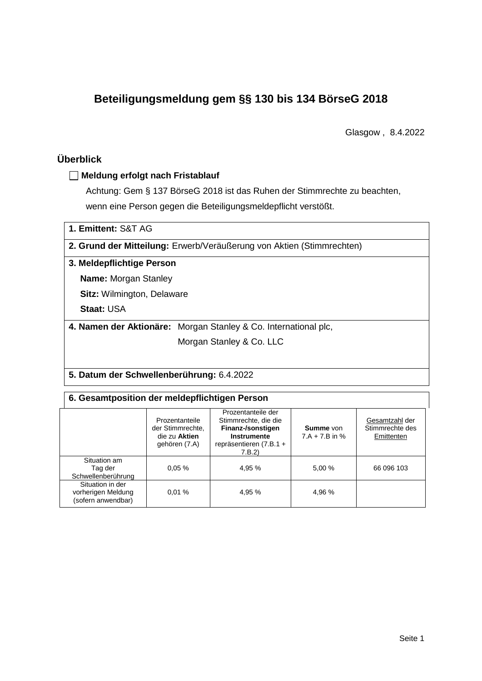# **Beteiligungsmeldung gem §§ 130 bis 134 BörseG 2018**

Glasgow , 8.4.2022

## **Überblick**

## **Meldung erfolgt nach Fristablauf**

Achtung: Gem § 137 BörseG 2018 ist das Ruhen der Stimmrechte zu beachten, wenn eine Person gegen die Beteiligungsmeldepflicht verstößt.

| 1. Emittent: S&T AG                      |                                                                       |  |  |  |  |  |
|------------------------------------------|-----------------------------------------------------------------------|--|--|--|--|--|
|                                          | 2. Grund der Mitteilung: Erwerb/Veräußerung von Aktien (Stimmrechten) |  |  |  |  |  |
| 3. Meldepflichtige Person                |                                                                       |  |  |  |  |  |
| <b>Name:</b> Morgan Stanley              |                                                                       |  |  |  |  |  |
| <b>Sitz:</b> Wilmington, Delaware        |                                                                       |  |  |  |  |  |
| <b>Staat: USA</b>                        |                                                                       |  |  |  |  |  |
|                                          | 4. Namen der Aktionäre: Morgan Stanley & Co. International plc,       |  |  |  |  |  |
|                                          | Morgan Stanley & Co. LLC                                              |  |  |  |  |  |
|                                          |                                                                       |  |  |  |  |  |
| 5 Datum der Schwellenberührung: 6.4.2022 |                                                                       |  |  |  |  |  |

### **5. Datum der Schwellenberührung:** 6.4.2022

### **6. Gesamtposition der meldepflichtigen Person**

|                                                              | Prozentanteile<br>der Stimmrechte.<br>die zu Aktien<br>gehören (7.A) | Prozentanteile der<br>Stimmrechte, die die<br>Finanz-/sonstigen<br>Instrumente<br>repräsentieren (7.B.1 +<br>7.B.2 | <b>Summe</b> von<br>$7.A + 7.B$ in % | Gesamtzahl der<br>Stimmrechte des<br>Emittenten |
|--------------------------------------------------------------|----------------------------------------------------------------------|--------------------------------------------------------------------------------------------------------------------|--------------------------------------|-------------------------------------------------|
| Situation am<br>Tag der<br>Schwellenberührung                | 0.05%                                                                | 4,95 %                                                                                                             | 5,00 %                               | 66 096 103                                      |
| Situation in der<br>vorherigen Meldung<br>(sofern anwendbar) | 0.01%                                                                | 4,95 %                                                                                                             | 4.96 %                               |                                                 |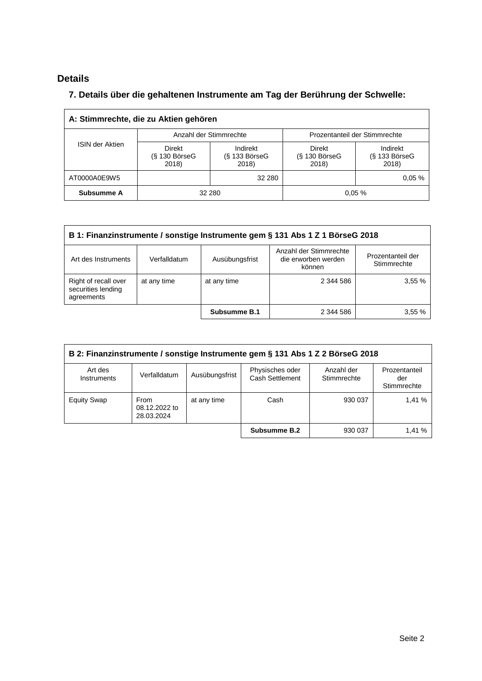## **Details**

## **7. Details über die gehaltenen Instrumente am Tag der Berührung der Schwelle:**

| A: Stimmrechte, die zu Aktien gehören |                                    |                                      |                                           |                                      |  |  |
|---------------------------------------|------------------------------------|--------------------------------------|-------------------------------------------|--------------------------------------|--|--|
|                                       |                                    | Anzahl der Stimmrechte               | Prozentanteil der Stimmrechte             |                                      |  |  |
| <b>ISIN der Aktien</b>                | Direkt<br>$(S$ 130 BörseG<br>2018) | Indirekt<br>$(S$ 133 BörseG<br>2018) | <b>Direkt</b><br>$(S$ 130 BörseG<br>2018) | Indirekt<br>$(S$ 133 BörseG<br>2018) |  |  |
| AT0000A0E9W5                          |                                    | 32 280                               |                                           | 0.05%                                |  |  |
| Subsumme A                            | 32 280                             |                                      |                                           | 0.05%                                |  |  |

| B 1: Finanzinstrumente / sonstige Instrumente gem § 131 Abs 1 Z 1 BörseG 2018                                                                        |             |              |           |       |  |  |
|------------------------------------------------------------------------------------------------------------------------------------------------------|-------------|--------------|-----------|-------|--|--|
| Anzahl der Stimmrechte<br>Prozentanteil der<br>die erworben werden<br>Ausübungsfrist<br>Verfalldatum<br>Art des Instruments<br>Stimmrechte<br>können |             |              |           |       |  |  |
| Right of recall over<br>securities lending<br>agreements                                                                                             | at any time | at any time  | 2 344 586 | 3,55% |  |  |
|                                                                                                                                                      |             | Subsumme B.1 | 2 344 586 | 3.55% |  |  |

| B 2: Finanzinstrumente / sonstige Instrumente gem § 131 Abs 1 Z 2 BörseG 2018 |                                     |                |                                    |                           |                                     |  |
|-------------------------------------------------------------------------------|-------------------------------------|----------------|------------------------------------|---------------------------|-------------------------------------|--|
| Art des<br><b>Instruments</b>                                                 | Verfalldatum                        | Ausübungsfrist | Physisches oder<br>Cash Settlement | Anzahl der<br>Stimmrechte | Prozentanteil<br>der<br>Stimmrechte |  |
| <b>Equity Swap</b>                                                            | From<br>08.12.2022 to<br>28.03.2024 | at any time    | Cash                               | 930 037                   | 1.41%                               |  |
|                                                                               |                                     |                | Subsumme B.2                       | 930 037                   | 1,41 %                              |  |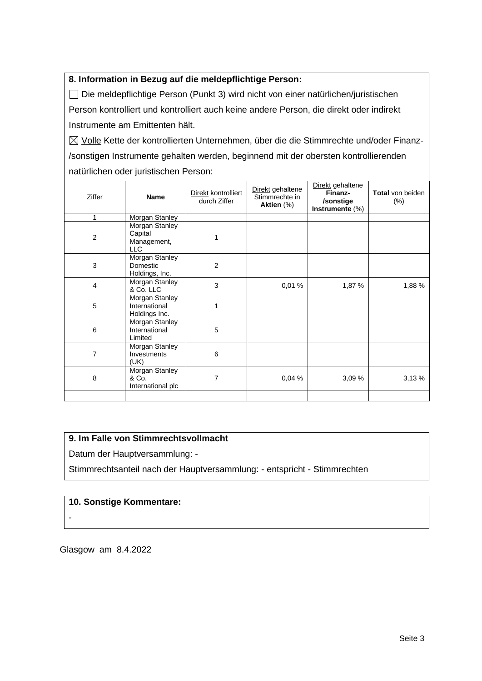## **8. Information in Bezug auf die meldepflichtige Person:**

Die meldepflichtige Person (Punkt 3) wird nicht von einer natürlichen/juristischen Person kontrolliert und kontrolliert auch keine andere Person, die direkt oder indirekt Instrumente am Emittenten hält.

 $\boxtimes$  Volle Kette der kontrollierten Unternehmen, über die die Stimmrechte und/oder Finanz-/sonstigen Instrumente gehalten werden, beginnend mit der obersten kontrollierenden natürlichen oder juristischen Person:

| <b>Ziffer</b>  | <b>Name</b>                                            | Direkt kontrolliert<br>durch Ziffer | Direkt gehaltene<br>Stimmrechte in<br>Aktien (%) | Direkt gehaltene<br>Finanz-<br>/sonstige<br>Instrumente (%) | <b>Total</b> von beiden<br>$(\% )$ |
|----------------|--------------------------------------------------------|-------------------------------------|--------------------------------------------------|-------------------------------------------------------------|------------------------------------|
| 1              | Morgan Stanley                                         |                                     |                                                  |                                                             |                                    |
| $\overline{2}$ | Morgan Stanley<br>Capital<br>Management,<br><b>LLC</b> |                                     |                                                  |                                                             |                                    |
| 3              | Morgan Stanley<br>Domestic<br>Holdings, Inc.           | 2                                   |                                                  |                                                             |                                    |
| 4              | Morgan Stanley<br>& Co. LLC                            | 3                                   | 0,01%                                            | 1,87 %                                                      | 1,88 %                             |
| 5              | Morgan Stanley<br>International<br>Holdings Inc.       | 1                                   |                                                  |                                                             |                                    |
| 6              | Morgan Stanley<br>International<br>Limited             | 5                                   |                                                  |                                                             |                                    |
| $\overline{7}$ | Morgan Stanley<br>Investments<br>(UK)                  | 6                                   |                                                  |                                                             |                                    |
| 8              | Morgan Stanley<br>& Co.<br>International plc           | 7                                   | 0,04%                                            | 3,09%                                                       | 3,13%                              |
|                |                                                        |                                     |                                                  |                                                             |                                    |

### **9. Im Falle von Stimmrechtsvollmacht**

Datum der Hauptversammlung: -

Stimmrechtsanteil nach der Hauptversammlung: - entspricht - Stimmrechten

### **10. Sonstige Kommentare:**

-

Glasgow am 8.4.2022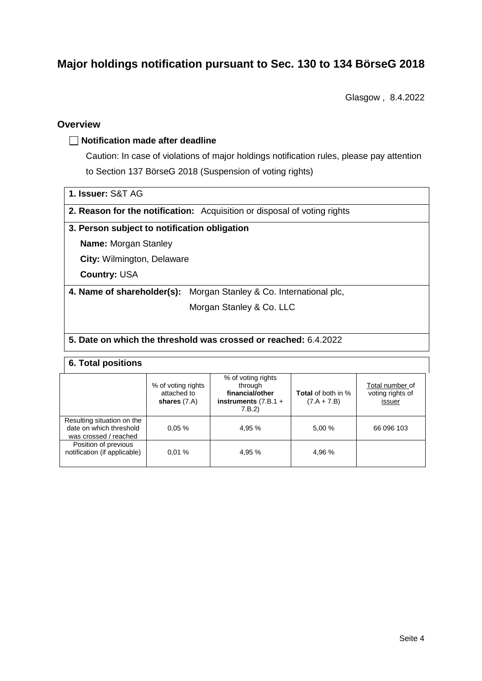# **Major holdings notification pursuant to Sec. 130 to 134 BörseG 2018**

Glasgow , 8.4.2022

## **Overview**

### **Notification made after deadline**

Caution: In case of violations of major holdings notification rules, please pay attention to Section 137 BörseG 2018 (Suspension of voting rights)

|  |  | 1. Issuer: S&T AG |  |  |
|--|--|-------------------|--|--|
|--|--|-------------------|--|--|

**2. Reason for the notification:** Acquisition or disposal of voting rights

### **3. Person subject to notification obligation**

**Name:** Morgan Stanley

**City:** Wilmington, Delaware

**Country:** USA

**4. Name of shareholder(s):** Morgan Stanley & Co. International plc,

Morgan Stanley & Co. LLC

### **5. Date on which the threshold was crossed or reached:** 6.4.2022

#### **6. Total positions**

|                                                                                | % of voting rights<br>attached to<br>shares $(7.A)$ | % of voting rights<br>through<br>financial/other<br>instruments $(7.B.1 +$<br>7.B.2) | <b>Total</b> of both in %<br>$(7.A + 7.B)$ | Total number of<br>voting rights of<br>issuer |
|--------------------------------------------------------------------------------|-----------------------------------------------------|--------------------------------------------------------------------------------------|--------------------------------------------|-----------------------------------------------|
| Resulting situation on the<br>date on which threshold<br>was crossed / reached | 0.05%                                               | 4.95 %                                                                               | 5.00 %                                     | 66 096 103                                    |
| Position of previous<br>notification (if applicable)                           | 0.01%                                               | 4.95 %                                                                               | 4.96 %                                     |                                               |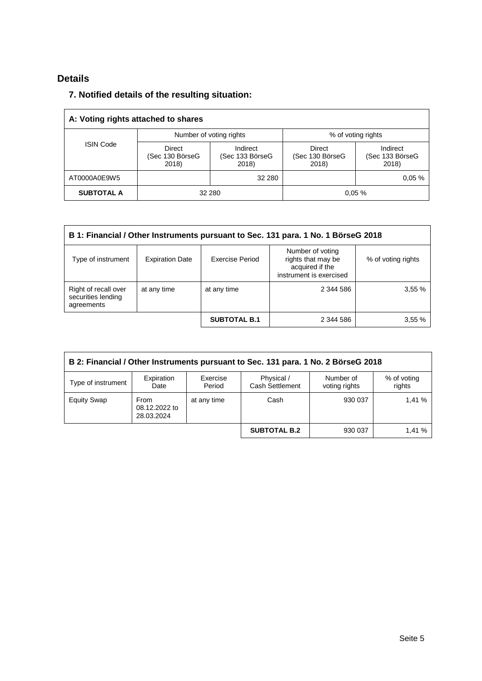## **Details**

## **7. Notified details of the resulting situation:**

| A: Voting rights attached to shares |                                    |                                      |                                    |                                      |  |  |
|-------------------------------------|------------------------------------|--------------------------------------|------------------------------------|--------------------------------------|--|--|
|                                     |                                    | Number of voting rights              | % of voting rights                 |                                      |  |  |
| <b>ISIN Code</b>                    | Direct<br>(Sec 130 BörseG<br>2018) | Indirect<br>(Sec 133 BörseG<br>2018) | Direct<br>(Sec 130 BörseG<br>2018) | Indirect<br>(Sec 133 BörseG<br>2018) |  |  |
| AT0000A0E9W5                        |                                    | 32 280                               |                                    | 0.05%                                |  |  |
| <b>SUBTOTAL A</b>                   | 32 280                             |                                      |                                    | 0.05%                                |  |  |

| B 1: Financial / Other Instruments pursuant to Sec. 131 para. 1 No. 1 BörseG 2018 |                        |                     |                                                                                      |                    |  |  |
|-----------------------------------------------------------------------------------|------------------------|---------------------|--------------------------------------------------------------------------------------|--------------------|--|--|
| Type of instrument                                                                | <b>Expiration Date</b> | Exercise Period     | Number of voting<br>rights that may be<br>acquired if the<br>instrument is exercised | % of voting rights |  |  |
| Right of recall over<br>securities lending<br>agreements                          | at any time            | at any time         | 2 344 586                                                                            | 3,55%              |  |  |
|                                                                                   |                        | <b>SUBTOTAL B.1</b> | 2 344 586                                                                            | 3,55%              |  |  |

| B 2: Financial / Other Instruments pursuant to Sec. 131 para. 1 No. 2 BörseG 2018 |                                            |                    |                               |                            |                       |  |
|-----------------------------------------------------------------------------------|--------------------------------------------|--------------------|-------------------------------|----------------------------|-----------------------|--|
| Type of instrument                                                                | Expiration<br>Date                         | Exercise<br>Period | Physical /<br>Cash Settlement | Number of<br>voting rights | % of voting<br>rights |  |
| <b>Equity Swap</b>                                                                | <b>From</b><br>08.12.2022 to<br>28.03.2024 | at any time        | Cash                          | 930 037                    | 1.41%                 |  |
|                                                                                   |                                            |                    | <b>SUBTOTAL B.2</b>           | 930 037                    | 1.41%                 |  |